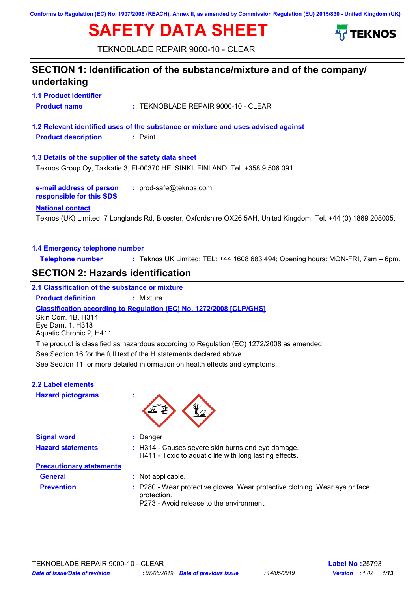**Conforms to Regulation (EC) No. 1907/2006 (REACH), Annex II, as amended by Commission Regulation (EU) 2015/830 - United Kingdom (UK)**

# **SAFETY DATA SHEET**



TEKNOBLADE REPAIR 9000-10 - CLEAR

# **1.1 Product identifier 1.3 Details of the supplier of the safety data sheet e-mail address of person responsible for this SDS :** prod-safe@teknos.com **1.2 Relevant identified uses of the substance or mixture and uses advised against SECTION 1: Identification of the substance/mixture and of the company/ undertaking National contact 1.4 Emergency telephone number Telephone number :** Teknos UK Limited; TEL: +44 1608 683 494; Opening hours: MON-FRI, 7am – 6pm. **Product name :** TEKNOBLADE REPAIR 9000-10 - CLEAR **Product description :** Paint. Teknos (UK) Limited, 7 Longlands Rd, Bicester, Oxfordshire OX26 5AH, United Kingdom. Tel. +44 (0) 1869 208005. Teknos Group Oy, Takkatie 3, FI-00370 HELSINKI, FINLAND. Tel. +358 9 506 091. See Section 11 for more detailed information on health effects and symptoms. **Classification according to Regulation (EC) No. 1272/2008 [CLP/GHS] SECTION 2: Hazards identification 2.1 Classification of the substance or mixture Product definition :** Mixture See Section 16 for the full text of the H statements declared above. **2.2 Label elements Hazard pictograms : Signal word : Hazard statements : Prevention : Precautionary statements** : Danger : H314 - Causes severe skin burns and eye damage. H411 - Toxic to aquatic life with long lasting effects. P280 - Wear protective gloves. Wear protective clothing. Wear eye or face protection. P273 - Avoid release to the environment. Skin Corr. 1B, H314 Eye Dam. 1, H318 Aquatic Chronic 2, H411 **General :** Not applicable. The product is classified as hazardous according to Regulation (EC) 1272/2008 as amended.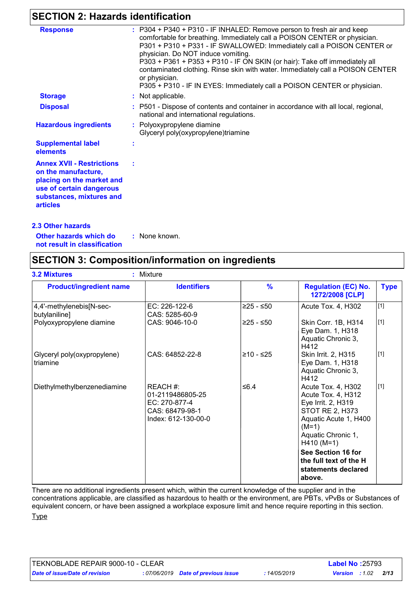## **SECTION 2: Hazards identification**

| : P304 + P340 + P310 - IF INHALED: Remove person to fresh air and keep<br><b>Response</b><br>comfortable for breathing. Immediately call a POISON CENTER or physician.<br>P301 + P310 + P331 - IF SWALLOWED: Immediately call a POISON CENTER or<br>physician. Do NOT induce vomiting.<br>P303 + P361 + P353 + P310 - IF ON SKIN (or hair): Take off immediately all<br>contaminated clothing. Rinse skin with water. Immediately call a POISON CENTER<br>or physician.<br>P305 + P310 - IF IN EYES: Immediately call a POISON CENTER or physician. |  |
|-----------------------------------------------------------------------------------------------------------------------------------------------------------------------------------------------------------------------------------------------------------------------------------------------------------------------------------------------------------------------------------------------------------------------------------------------------------------------------------------------------------------------------------------------------|--|
|                                                                                                                                                                                                                                                                                                                                                                                                                                                                                                                                                     |  |
|                                                                                                                                                                                                                                                                                                                                                                                                                                                                                                                                                     |  |
|                                                                                                                                                                                                                                                                                                                                                                                                                                                                                                                                                     |  |
|                                                                                                                                                                                                                                                                                                                                                                                                                                                                                                                                                     |  |
|                                                                                                                                                                                                                                                                                                                                                                                                                                                                                                                                                     |  |
|                                                                                                                                                                                                                                                                                                                                                                                                                                                                                                                                                     |  |
| : Not applicable.<br><b>Storage</b>                                                                                                                                                                                                                                                                                                                                                                                                                                                                                                                 |  |
| <b>Disposal</b><br>: P501 - Dispose of contents and container in accordance with all local, regional,<br>national and international regulations.                                                                                                                                                                                                                                                                                                                                                                                                    |  |
| <b>Hazardous ingredients</b><br>: Polyoxypropylene diamine<br>Glyceryl poly(oxypropylene)triamine                                                                                                                                                                                                                                                                                                                                                                                                                                                   |  |
| <b>Supplemental label</b><br>elements                                                                                                                                                                                                                                                                                                                                                                                                                                                                                                               |  |
| <b>Annex XVII - Restrictions</b>                                                                                                                                                                                                                                                                                                                                                                                                                                                                                                                    |  |
| on the manufacture,                                                                                                                                                                                                                                                                                                                                                                                                                                                                                                                                 |  |
| placing on the market and                                                                                                                                                                                                                                                                                                                                                                                                                                                                                                                           |  |
| use of certain dangerous                                                                                                                                                                                                                                                                                                                                                                                                                                                                                                                            |  |
| substances, mixtures and                                                                                                                                                                                                                                                                                                                                                                                                                                                                                                                            |  |
| <b>articles</b>                                                                                                                                                                                                                                                                                                                                                                                                                                                                                                                                     |  |
| <b>2.3 Other hazards</b>                                                                                                                                                                                                                                                                                                                                                                                                                                                                                                                            |  |

**Other hazards which do : not result in classification** : None known.

## **SECTION 3: Composition/information on ingredients**

| <b>Product/ingredient name</b>            | <b>Identifiers</b>                                                                     | $\frac{9}{6}$ | <b>Regulation (EC) No.</b><br>1272/2008 [CLP]                                                                                                               | <b>Type</b> |
|-------------------------------------------|----------------------------------------------------------------------------------------|---------------|-------------------------------------------------------------------------------------------------------------------------------------------------------------|-------------|
| 4,4'-methylenebis[N-sec-<br>butylaniline] | EC: 226-122-6<br>CAS: 5285-60-9                                                        | $≥25 - ≤50$   | Acute Tox. 4, H302                                                                                                                                          | $[1]$       |
| Polyoxypropylene diamine                  | CAS: 9046-10-0                                                                         | ≥25 - ≤50     | Skin Corr. 1B, H314<br>Eye Dam. 1, H318<br>Aquatic Chronic 3,<br>H412                                                                                       | $[1]$       |
| Glyceryl poly(oxypropylene)<br>triamine   | CAS: 64852-22-8                                                                        | $≥10 - ≤25$   | Skin Irrit. 2, H315<br>Eye Dam. 1, H318<br>Aquatic Chronic 3,<br>H412                                                                                       | $[1]$       |
| Diethylmethylbenzenediamine               | REACH#:<br>01-2119486805-25<br>EC: 270-877-4<br>CAS: 68479-98-1<br>Index: 612-130-00-0 | ≤6.4          | Acute Tox. 4, H302<br>Acute Tox. 4, H312<br>Eye Irrit. 2, H319<br>STOT RE 2, H373<br>Aquatic Acute 1, H400<br>$(M=1)$<br>Aquatic Chronic 1,<br>$H410 (M=1)$ | $[1]$       |
|                                           |                                                                                        |               | See Section 16 for<br>the full text of the H<br>statements declared<br>above.                                                                               |             |

There are no additional ingredients present which, within the current knowledge of the supplier and in the

concentrations applicable, are classified as hazardous to health or the environment, are PBTs, vPvBs or Substances of equivalent concern, or have been assigned a workplace exposure limit and hence require reporting in this section. **Type**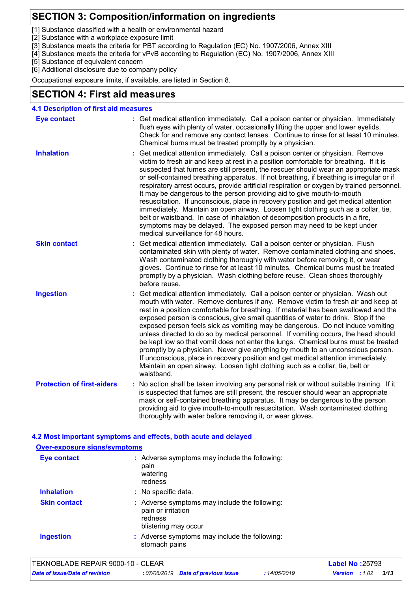## **SECTION 3: Composition/information on ingredients**

[1] Substance classified with a health or environmental hazard

- [2] Substance with a workplace exposure limit
- [3] Substance meets the criteria for PBT according to Regulation (EC) No. 1907/2006, Annex XIII
- [4] Substance meets the criteria for vPvB according to Regulation (EC) No. 1907/2006, Annex XIII

[5] Substance of equivalent concern

[6] Additional disclosure due to company policy

Occupational exposure limits, if available, are listed in Section 8.

### **SECTION 4: First aid measures**

| <b>Eye contact</b>                | : Get medical attention immediately. Call a poison center or physician. Immediately                                                                                                                                                                                                                                                                                                                                                                                                                                                                                                                                                                                                                                                                                                                                                                                                                           |  |
|-----------------------------------|---------------------------------------------------------------------------------------------------------------------------------------------------------------------------------------------------------------------------------------------------------------------------------------------------------------------------------------------------------------------------------------------------------------------------------------------------------------------------------------------------------------------------------------------------------------------------------------------------------------------------------------------------------------------------------------------------------------------------------------------------------------------------------------------------------------------------------------------------------------------------------------------------------------|--|
|                                   | flush eyes with plenty of water, occasionally lifting the upper and lower eyelids.<br>Check for and remove any contact lenses. Continue to rinse for at least 10 minutes.<br>Chemical burns must be treated promptly by a physician.                                                                                                                                                                                                                                                                                                                                                                                                                                                                                                                                                                                                                                                                          |  |
| <b>Inhalation</b>                 | Get medical attention immediately. Call a poison center or physician. Remove<br>victim to fresh air and keep at rest in a position comfortable for breathing. If it is<br>suspected that fumes are still present, the rescuer should wear an appropriate mask<br>or self-contained breathing apparatus. If not breathing, if breathing is irregular or if<br>respiratory arrest occurs, provide artificial respiration or oxygen by trained personnel.<br>It may be dangerous to the person providing aid to give mouth-to-mouth<br>resuscitation. If unconscious, place in recovery position and get medical attention<br>immediately. Maintain an open airway. Loosen tight clothing such as a collar, tie,<br>belt or waistband. In case of inhalation of decomposition products in a fire,<br>symptoms may be delayed. The exposed person may need to be kept under<br>medical surveillance for 48 hours. |  |
| <b>Skin contact</b>               | Get medical attention immediately. Call a poison center or physician. Flush<br>contaminated skin with plenty of water. Remove contaminated clothing and shoes.<br>Wash contaminated clothing thoroughly with water before removing it, or wear<br>gloves. Continue to rinse for at least 10 minutes. Chemical burns must be treated<br>promptly by a physician. Wash clothing before reuse. Clean shoes thoroughly<br>before reuse.                                                                                                                                                                                                                                                                                                                                                                                                                                                                           |  |
| <b>Ingestion</b>                  | Get medical attention immediately. Call a poison center or physician. Wash out<br>mouth with water. Remove dentures if any. Remove victim to fresh air and keep at<br>rest in a position comfortable for breathing. If material has been swallowed and the<br>exposed person is conscious, give small quantities of water to drink. Stop if the<br>exposed person feels sick as vomiting may be dangerous. Do not induce vomiting<br>unless directed to do so by medical personnel. If vomiting occurs, the head should<br>be kept low so that vomit does not enter the lungs. Chemical burns must be treated<br>promptly by a physician. Never give anything by mouth to an unconscious person.<br>If unconscious, place in recovery position and get medical attention immediately.<br>Maintain an open airway. Loosen tight clothing such as a collar, tie, belt or<br>waistband.                          |  |
| <b>Protection of first-aiders</b> | No action shall be taken involving any personal risk or without suitable training. If it<br>is suspected that fumes are still present, the rescuer should wear an appropriate<br>mask or self-contained breathing apparatus. It may be dangerous to the person<br>providing aid to give mouth-to-mouth resuscitation. Wash contaminated clothing<br>thoroughly with water before removing it, or wear gloves.                                                                                                                                                                                                                                                                                                                                                                                                                                                                                                 |  |

#### **4.2 Most important symptoms and effects, both acute and delayed Over-exposure signs/symptoms Skin contact Ingestion Inhalation :** No specific data. Adverse symptoms may include the following: **:** stomach pains Adverse symptoms may include the following: **:** pain or irritation redness blistering may occur **Eye contact :** Adverse symptoms may include the following: pain watering redness

| TEKNOBLADE REPAIR 9000-10 - CLEAR |                                     |              | <b>Label No: 25793</b> |      |  |
|-----------------------------------|-------------------------------------|--------------|------------------------|------|--|
| Date of issue/Date of revision    | : 07/06/2019 Date of previous issue | : 14/05/2019 | <b>Version</b> : 1.02  | 3/13 |  |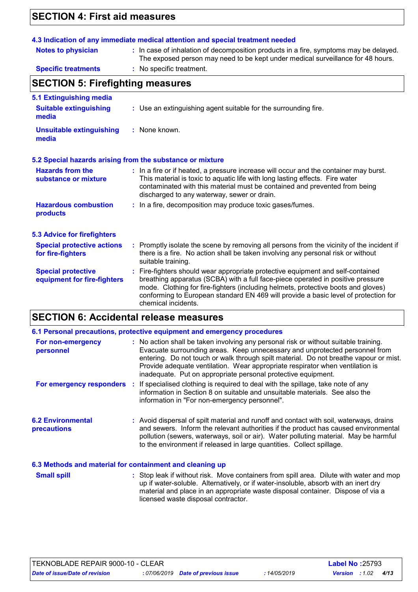# **SECTION 4: First aid measures**

| <b>Notes to physician</b>                                | 4.3 Indication of any immediate medical attention and special treatment needed<br>: In case of inhalation of decomposition products in a fire, symptoms may be delayed.                                                                                                                                                                                               |  |  |  |
|----------------------------------------------------------|-----------------------------------------------------------------------------------------------------------------------------------------------------------------------------------------------------------------------------------------------------------------------------------------------------------------------------------------------------------------------|--|--|--|
|                                                          | The exposed person may need to be kept under medical surveillance for 48 hours.                                                                                                                                                                                                                                                                                       |  |  |  |
| <b>Specific treatments</b>                               | : No specific treatment.                                                                                                                                                                                                                                                                                                                                              |  |  |  |
| <b>SECTION 5: Firefighting measures</b>                  |                                                                                                                                                                                                                                                                                                                                                                       |  |  |  |
| 5.1 Extinguishing media                                  |                                                                                                                                                                                                                                                                                                                                                                       |  |  |  |
| <b>Suitable extinguishing</b><br>media                   | : Use an extinguishing agent suitable for the surrounding fire.                                                                                                                                                                                                                                                                                                       |  |  |  |
| <b>Unsuitable extinguishing</b><br>media                 | : None known.                                                                                                                                                                                                                                                                                                                                                         |  |  |  |
|                                                          | 5.2 Special hazards arising from the substance or mixture                                                                                                                                                                                                                                                                                                             |  |  |  |
| <b>Hazards from the</b><br>substance or mixture          | : In a fire or if heated, a pressure increase will occur and the container may burst.<br>This material is toxic to aquatic life with long lasting effects. Fire water<br>contaminated with this material must be contained and prevented from being<br>discharged to any waterway, sewer or drain.                                                                    |  |  |  |
| <b>Hazardous combustion</b><br>products                  | : In a fire, decomposition may produce toxic gases/fumes.                                                                                                                                                                                                                                                                                                             |  |  |  |
| <b>5.3 Advice for firefighters</b>                       |                                                                                                                                                                                                                                                                                                                                                                       |  |  |  |
| <b>Special protective actions</b><br>for fire-fighters   | : Promptly isolate the scene by removing all persons from the vicinity of the incident if<br>there is a fire. No action shall be taken involving any personal risk or without<br>suitable training.                                                                                                                                                                   |  |  |  |
| <b>Special protective</b><br>equipment for fire-fighters | : Fire-fighters should wear appropriate protective equipment and self-contained<br>breathing apparatus (SCBA) with a full face-piece operated in positive pressure<br>mode. Clothing for fire-fighters (including helmets, protective boots and gloves)<br>conforming to European standard EN 469 will provide a basic level of protection for<br>chemical incidents. |  |  |  |

# **SECTION 6: Accidental release measures**

|                                                          | 6.1 Personal precautions, protective equipment and emergency procedures                                                                                                                                                                                                                                                                                                                                        |  |
|----------------------------------------------------------|----------------------------------------------------------------------------------------------------------------------------------------------------------------------------------------------------------------------------------------------------------------------------------------------------------------------------------------------------------------------------------------------------------------|--|
| For non-emergency<br>personnel                           | : No action shall be taken involving any personal risk or without suitable training.<br>Evacuate surrounding areas. Keep unnecessary and unprotected personnel from<br>entering. Do not touch or walk through spilt material. Do not breathe vapour or mist.<br>Provide adequate ventilation. Wear appropriate respirator when ventilation is<br>inadequate. Put on appropriate personal protective equipment. |  |
|                                                          | For emergency responders : If specialised clothing is required to deal with the spillage, take note of any<br>information in Section 8 on suitable and unsuitable materials. See also the<br>information in "For non-emergency personnel".                                                                                                                                                                     |  |
| <b>6.2 Environmental</b><br><b>precautions</b>           | : Avoid dispersal of spilt material and runoff and contact with soil, waterways, drains<br>and sewers. Inform the relevant authorities if the product has caused environmental<br>pollution (sewers, waterways, soil or air). Water polluting material. May be harmful<br>to the environment if released in large quantities. Collect spillage.                                                                |  |
| 6.3 Methods and material for containment and cleaning up |                                                                                                                                                                                                                                                                                                                                                                                                                |  |
| <b>Small spill</b>                                       | : Stop leak if without risk. Move containers from spill area. Dilute with water and mop<br>up if water-soluble. Alternatively, or if water-insoluble, absorb with an inert dry<br>material and place in an appropriate waste disposal container. Dispose of via a                                                                                                                                              |  |

licensed waste disposal contractor.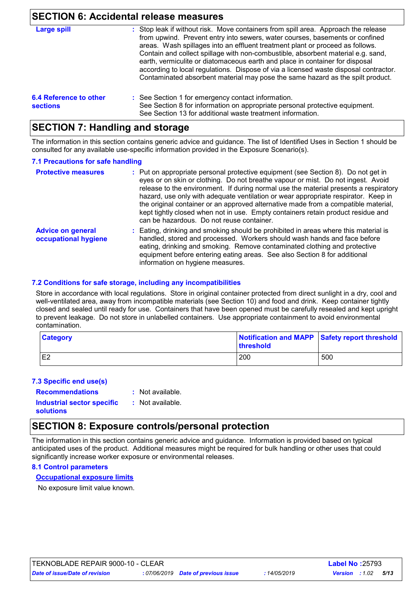### **SECTION 6: Accidental release measures**

|                                           | OLO HON 0. ACCIUGHIAI IGIGASG IIIGASUIGS                                                                                                                                                                                                                                                                                                                                                                                                                                                                                                                                                          |
|-------------------------------------------|---------------------------------------------------------------------------------------------------------------------------------------------------------------------------------------------------------------------------------------------------------------------------------------------------------------------------------------------------------------------------------------------------------------------------------------------------------------------------------------------------------------------------------------------------------------------------------------------------|
| Large spill                               | : Stop leak if without risk. Move containers from spill area. Approach the release<br>from upwind. Prevent entry into sewers, water courses, basements or confined<br>areas. Wash spillages into an effluent treatment plant or proceed as follows.<br>Contain and collect spillage with non-combustible, absorbent material e.g. sand,<br>earth, vermiculite or diatomaceous earth and place in container for disposal<br>according to local regulations. Dispose of via a licensed waste disposal contractor.<br>Contaminated absorbent material may pose the same hazard as the spilt product. |
| 6.4 Reference to other<br><b>sections</b> | : See Section 1 for emergency contact information.<br>See Section 8 for information on appropriate personal protective equipment.<br>See Section 13 for additional waste treatment information.                                                                                                                                                                                                                                                                                                                                                                                                   |

### **SECTION 7: Handling and storage**

The information in this section contains generic advice and guidance. The list of Identified Uses in Section 1 should be consulted for any available use-specific information provided in the Exposure Scenario(s).

#### **7.1 Precautions for safe handling**

| <b>Protective measures</b>                       | : Put on appropriate personal protective equipment (see Section 8). Do not get in<br>eyes or on skin or clothing. Do not breathe vapour or mist. Do not ingest. Avoid<br>release to the environment. If during normal use the material presents a respiratory<br>hazard, use only with adequate ventilation or wear appropriate respirator. Keep in<br>the original container or an approved alternative made from a compatible material,<br>kept tightly closed when not in use. Empty containers retain product residue and<br>can be hazardous. Do not reuse container. |
|--------------------------------------------------|----------------------------------------------------------------------------------------------------------------------------------------------------------------------------------------------------------------------------------------------------------------------------------------------------------------------------------------------------------------------------------------------------------------------------------------------------------------------------------------------------------------------------------------------------------------------------|
| <b>Advice on general</b><br>occupational hygiene | : Eating, drinking and smoking should be prohibited in areas where this material is<br>handled, stored and processed. Workers should wash hands and face before<br>eating, drinking and smoking. Remove contaminated clothing and protective<br>equipment before entering eating areas. See also Section 8 for additional<br>information on hygiene measures.                                                                                                                                                                                                              |

#### **7.2 Conditions for safe storage, including any incompatibilities**

Store in accordance with local regulations. Store in original container protected from direct sunlight in a dry, cool and well-ventilated area, away from incompatible materials (see Section 10) and food and drink. Keep container tightly closed and sealed until ready for use. Containers that have been opened must be carefully resealed and kept upright to prevent leakage. Do not store in unlabelled containers. Use appropriate containment to avoid environmental contamination.

| <b>Category</b> | threshold | Notification and MAPP Safety report threshold |  |
|-----------------|-----------|-----------------------------------------------|--|
| E <sub>2</sub>  | 200       | 500                                           |  |

#### **7.3 Specific end use(s)**

**Recommendations :**

: Not available.

**Industrial sector specific : solutions**

: Not available.

### **SECTION 8: Exposure controls/personal protection**

The information in this section contains generic advice and guidance. Information is provided based on typical anticipated uses of the product. Additional measures might be required for bulk handling or other uses that could significantly increase worker exposure or environmental releases.

#### **8.1 Control parameters**

**Occupational exposure limits**

No exposure limit value known.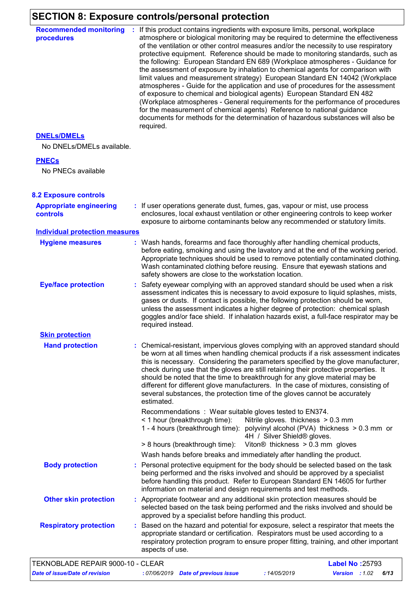# **SECTION 8: Exposure controls/personal protection**

| <b>Recommended monitoring</b><br>procedures       | : If this product contains ingredients with exposure limits, personal, workplace<br>atmosphere or biological monitoring may be required to determine the effectiveness<br>of the ventilation or other control measures and/or the necessity to use respiratory<br>protective equipment. Reference should be made to monitoring standards, such as<br>the following: European Standard EN 689 (Workplace atmospheres - Guidance for<br>the assessment of exposure by inhalation to chemical agents for comparison with<br>limit values and measurement strategy) European Standard EN 14042 (Workplace<br>atmospheres - Guide for the application and use of procedures for the assessment<br>of exposure to chemical and biological agents) European Standard EN 482<br>(Workplace atmospheres - General requirements for the performance of procedures<br>for the measurement of chemical agents) Reference to national guidance<br>documents for methods for the determination of hazardous substances will also be<br>required. |
|---------------------------------------------------|------------------------------------------------------------------------------------------------------------------------------------------------------------------------------------------------------------------------------------------------------------------------------------------------------------------------------------------------------------------------------------------------------------------------------------------------------------------------------------------------------------------------------------------------------------------------------------------------------------------------------------------------------------------------------------------------------------------------------------------------------------------------------------------------------------------------------------------------------------------------------------------------------------------------------------------------------------------------------------------------------------------------------------|
| <b>DNELS/DMELS</b>                                |                                                                                                                                                                                                                                                                                                                                                                                                                                                                                                                                                                                                                                                                                                                                                                                                                                                                                                                                                                                                                                    |
| No DNELs/DMELs available.                         |                                                                                                                                                                                                                                                                                                                                                                                                                                                                                                                                                                                                                                                                                                                                                                                                                                                                                                                                                                                                                                    |
| <b>PNECs</b>                                      |                                                                                                                                                                                                                                                                                                                                                                                                                                                                                                                                                                                                                                                                                                                                                                                                                                                                                                                                                                                                                                    |
| No PNECs available                                |                                                                                                                                                                                                                                                                                                                                                                                                                                                                                                                                                                                                                                                                                                                                                                                                                                                                                                                                                                                                                                    |
| <b>8.2 Exposure controls</b>                      |                                                                                                                                                                                                                                                                                                                                                                                                                                                                                                                                                                                                                                                                                                                                                                                                                                                                                                                                                                                                                                    |
| <b>Appropriate engineering</b><br><b>controls</b> | : If user operations generate dust, fumes, gas, vapour or mist, use process<br>enclosures, local exhaust ventilation or other engineering controls to keep worker<br>exposure to airborne contaminants below any recommended or statutory limits.                                                                                                                                                                                                                                                                                                                                                                                                                                                                                                                                                                                                                                                                                                                                                                                  |
| <b>Individual protection measures</b>             |                                                                                                                                                                                                                                                                                                                                                                                                                                                                                                                                                                                                                                                                                                                                                                                                                                                                                                                                                                                                                                    |
| <b>Hygiene measures</b>                           | : Wash hands, forearms and face thoroughly after handling chemical products,<br>before eating, smoking and using the lavatory and at the end of the working period.<br>Appropriate techniques should be used to remove potentially contaminated clothing.<br>Wash contaminated clothing before reusing. Ensure that eyewash stations and<br>safety showers are close to the workstation location.                                                                                                                                                                                                                                                                                                                                                                                                                                                                                                                                                                                                                                  |
| <b>Eye/face protection</b>                        | : Safety eyewear complying with an approved standard should be used when a risk<br>assessment indicates this is necessary to avoid exposure to liquid splashes, mists,<br>gases or dusts. If contact is possible, the following protection should be worn,<br>unless the assessment indicates a higher degree of protection: chemical splash<br>goggles and/or face shield. If inhalation hazards exist, a full-face respirator may be<br>required instead.                                                                                                                                                                                                                                                                                                                                                                                                                                                                                                                                                                        |
| <b>Skin protection</b>                            |                                                                                                                                                                                                                                                                                                                                                                                                                                                                                                                                                                                                                                                                                                                                                                                                                                                                                                                                                                                                                                    |
| <b>Hand protection</b>                            | : Chemical-resistant, impervious gloves complying with an approved standard should<br>be worn at all times when handling chemical products if a risk assessment indicates<br>this is necessary. Considering the parameters specified by the glove manufacturer,<br>check during use that the gloves are still retaining their protective properties. It<br>should be noted that the time to breakthrough for any glove material may be<br>different for different glove manufacturers. In the case of mixtures, consisting of<br>several substances, the protection time of the gloves cannot be accurately<br>estimated.<br>Recommendations: Wear suitable gloves tested to EN374.<br>< 1 hour (breakthrough time):<br>Nitrile gloves. thickness > 0.3 mm<br>1 - 4 hours (breakthrough time): polyvinyl alcohol (PVA) thickness > 0.3 mm or<br>4H / Silver Shield® gloves.<br>Viton $@$ thickness $> 0.3$ mm gloves<br>> 8 hours (breakthrough time):                                                                             |
|                                                   | Wash hands before breaks and immediately after handling the product.                                                                                                                                                                                                                                                                                                                                                                                                                                                                                                                                                                                                                                                                                                                                                                                                                                                                                                                                                               |
| <b>Body protection</b>                            | : Personal protective equipment for the body should be selected based on the task<br>being performed and the risks involved and should be approved by a specialist<br>before handling this product. Refer to European Standard EN 14605 for further<br>information on material and design requirements and test methods.                                                                                                                                                                                                                                                                                                                                                                                                                                                                                                                                                                                                                                                                                                           |
| <b>Other skin protection</b>                      | : Appropriate footwear and any additional skin protection measures should be<br>selected based on the task being performed and the risks involved and should be<br>approved by a specialist before handling this product.                                                                                                                                                                                                                                                                                                                                                                                                                                                                                                                                                                                                                                                                                                                                                                                                          |
| <b>Respiratory protection</b>                     | : Based on the hazard and potential for exposure, select a respirator that meets the<br>appropriate standard or certification. Respirators must be used according to a<br>respiratory protection program to ensure proper fitting, training, and other important<br>aspects of use.                                                                                                                                                                                                                                                                                                                                                                                                                                                                                                                                                                                                                                                                                                                                                |
| TEKNOBLADE REPAIR 9000-10 - CLEAR                 | <b>Label No: 25793</b>                                                                                                                                                                                                                                                                                                                                                                                                                                                                                                                                                                                                                                                                                                                                                                                                                                                                                                                                                                                                             |

*Date of issue/Date of revision* **:** *07/06/2019 Date of previous issue : 14/05/2019 Version : 1.02 6/13*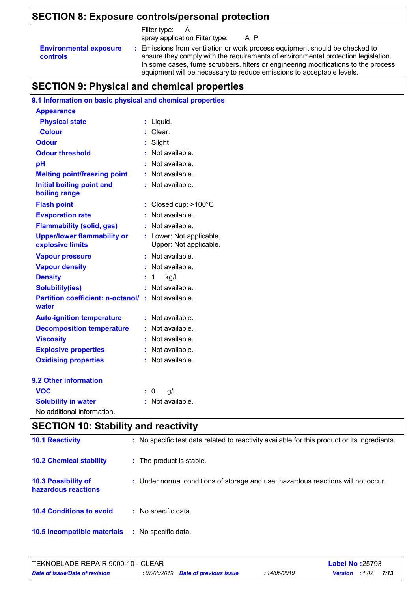# **SECTION 8: Exposure controls/personal protection**

|                                                  | Filter type:<br>$\overline{A}$                                                                                                                                                                                                                                                                                                  |
|--------------------------------------------------|---------------------------------------------------------------------------------------------------------------------------------------------------------------------------------------------------------------------------------------------------------------------------------------------------------------------------------|
|                                                  | spray application Filter type:<br>A P                                                                                                                                                                                                                                                                                           |
| <b>Environmental exposure</b><br><b>controls</b> | : Emissions from ventilation or work process equipment should be checked to<br>ensure they comply with the requirements of environmental protection legislation.<br>In some cases, fume scrubbers, filters or engineering modifications to the process<br>equipment will be necessary to reduce emissions to acceptable levels. |

# **SECTION 9: Physical and chemical properties**

### **9.1 Information on basic physical and chemical properties**

| <b>Appearance</b>                                      |    |                                                  |
|--------------------------------------------------------|----|--------------------------------------------------|
| <b>Physical state</b>                                  | t  | Liquid.                                          |
| <b>Colour</b>                                          |    | Clear.                                           |
| Odour                                                  |    | Slight                                           |
| <b>Odour threshold</b>                                 |    | Not available.                                   |
| рH                                                     |    | Not available.                                   |
| <b>Melting point/freezing point</b>                    | t. | Not available.                                   |
| <b>Initial boiling point and</b><br>boiling range      |    | Not available.                                   |
| <b>Flash point</b>                                     | ÷  | Closed cup: >100°C                               |
| <b>Evaporation rate</b>                                |    | Not available.                                   |
| <b>Flammability (solid, gas)</b>                       |    | Not available.                                   |
| <b>Upper/lower flammability or</b><br>explosive limits |    | Lower: Not applicable.<br>Upper: Not applicable. |
| <b>Vapour pressure</b>                                 |    | Not available.                                   |
| <b>Vapour density</b>                                  |    | Not available.                                   |
| <b>Density</b>                                         |    | 1<br>kg/l                                        |
| <b>Solubility(ies)</b>                                 | ŧ. | Not available.                                   |
| <b>Partition coefficient: n-octanol/</b><br>water      | ÷  | Not available.                                   |
| <b>Auto-ignition temperature</b>                       | t. | Not available.                                   |
| <b>Decomposition temperature</b>                       |    | Not available.                                   |
| <b>Viscosity</b>                                       |    | Not available.                                   |
| <b>Explosive properties</b>                            |    | Not available.                                   |
| <b>Oxidising properties</b>                            |    | Not available.                                   |
| 9.2 Other information                                  |    |                                                  |
| <b>VOC</b>                                             |    | g/l<br>0                                         |
| <b>Solubility in water</b>                             |    | Not available.                                   |
| No additional information.                             |    |                                                  |

# **SECTION 10: Stability and reactivity**

| <b>10.1 Reactivity</b>                            | : No specific test data related to reactivity available for this product or its ingredients. |
|---------------------------------------------------|----------------------------------------------------------------------------------------------|
| <b>10.2 Chemical stability</b>                    | : The product is stable.                                                                     |
| <b>10.3 Possibility of</b><br>hazardous reactions | : Under normal conditions of storage and use, hazardous reactions will not occur.            |
| <b>10.4 Conditions to avoid</b>                   | No specific data.                                                                            |
| 10.5 Incompatible materials                       | No specific data.<br>-11                                                                     |

| <b>TEKNOBLADE REPAIR 9000-10 - CLEAR</b> |                                     |            | <b>Label No :</b> 25793 |      |  |
|------------------------------------------|-------------------------------------|------------|-------------------------|------|--|
| Date of issue/Date of revision           | : 07/06/2019 Date of previous issue | 14/05/2019 | <b>Version</b> : 1.02   | 7/13 |  |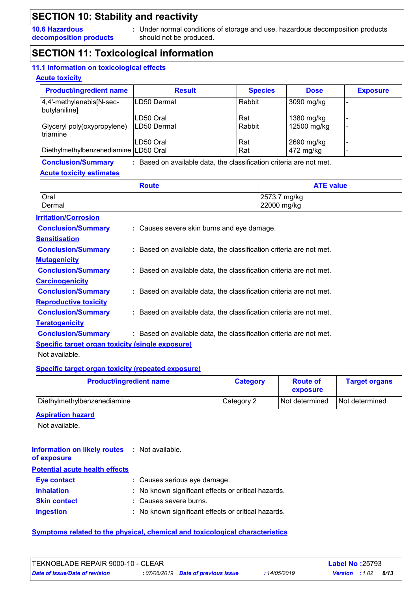**10.6 Hazardous decomposition products**

**:** Under normal conditions of storage and use, hazardous decomposition products should not be produced.

### **SECTION 11: Toxicological information**

#### **11.1 Information on toxicological effects**

#### **Acute toxicity**

| <b>Product/ingredient name</b>            | <b>Result</b>             | <b>Species</b> | <b>Dose</b>               | <b>Exposure</b> |
|-------------------------------------------|---------------------------|----------------|---------------------------|-----------------|
| 4,4'-methylenebis[N-sec-<br>butylaniline] | LD50 Dermal               | Rabbit         | 3090 mg/kg                |                 |
| Glyceryl poly(oxypropylene)<br>triamine   | LD50 Oral<br>ILD50 Dermal | Rat<br>Rabbit  | 1380 mg/kg<br>12500 mg/kg |                 |
| Diethylmethylbenzenediamine LD50 Oral     | LD50 Oral                 | l Rat<br>l Rat | 2690 mg/kg<br>472 mg/kg   |                 |

#### **Conclusion/Summary :**

: Based on available data, the classification criteria are not met.

#### **Acute toxicity estimates**

| <b>Route</b> | <b>ATE value</b> |
|--------------|------------------|
| Oral         | 2573.7 mg/kg     |
| Dermal       | 22000 mg/kg      |

#### **Carcinogenicity Conclusion/Summary : Mutagenicity Conclusion/Summary : Teratogenicity Conclusion/Summary : Reproductive toxicity Conclusion/Summary : Irritation/Corrosion Conclusion/Summary : Sensitisation Conclusion/Summary : Specific target organ toxicity (single exposure)** Causes severe skin burns and eye damage. : Based on available data, the classification criteria are not met. : Based on available data, the classification criteria are not met. : Based on available data, the classification criteria are not met. Based on available data, the classification criteria are not met. Based on available data, the classification criteria are not met.

Not available.

#### **Specific target organ toxicity (repeated exposure)**

| <b>Product/ingredient name</b> | <b>Category</b> | <b>Route of</b><br>exposure | <b>Target organs</b> |
|--------------------------------|-----------------|-----------------------------|----------------------|
| Diethylmethylbenzenediamine    | Category 2      | Not determined              | Not determined       |

#### **Aspiration hazard**

Not available.

| <b>Information on likely routes : Not available.</b><br>of exposure |                                                     |
|---------------------------------------------------------------------|-----------------------------------------------------|
| <b>Potential acute health effects</b>                               |                                                     |
| Eye contact                                                         | : Causes serious eye damage.                        |
| <b>Inhalation</b>                                                   | : No known significant effects or critical hazards. |
| <b>Skin contact</b>                                                 | : Causes severe burns.                              |
| <b>Ingestion</b>                                                    | : No known significant effects or critical hazards. |

#### **Symptoms related to the physical, chemical and toxicological characteristics**

| <b>ITEKNOBLADE REPAIR 9000-10 - CLEAR</b> |                                     |            | <b>Label No: 25793</b> |      |  |
|-------------------------------------------|-------------------------------------|------------|------------------------|------|--|
| Date of issue/Date of revision            | : 07/06/2019 Date of previous issue | 14/05/2019 | <b>Version</b> : 1.02  | 8/13 |  |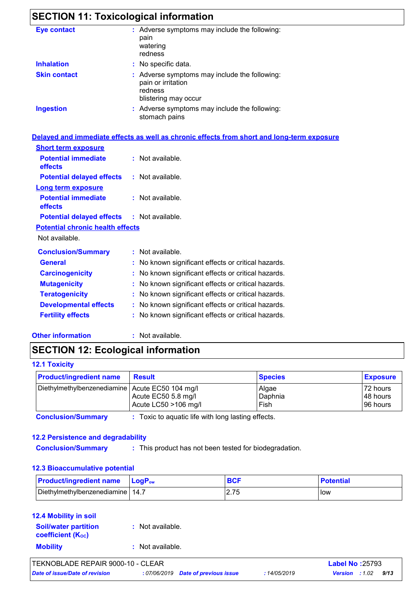# **SECTION 11: Toxicological information**

| <b>Eye contact</b>  | : Adverse symptoms may include the following:<br>pain<br>watering<br>redness                           |
|---------------------|--------------------------------------------------------------------------------------------------------|
| <b>Inhalation</b>   | : No specific data.                                                                                    |
| <b>Skin contact</b> | : Adverse symptoms may include the following:<br>pain or irritation<br>redness<br>blistering may occur |
| <b>Ingestion</b>    | : Adverse symptoms may include the following:<br>stomach pains                                         |
|                     | Delayed and immediate effects as well as chronic effects from short and long-term exposure             |

| <b>Short term exposure</b>                        |                                                     |
|---------------------------------------------------|-----------------------------------------------------|
| <b>Potential immediate</b><br>effects             | $:$ Not available.                                  |
| <b>Potential delayed effects</b>                  | $:$ Not available.                                  |
| <b>Long term exposure</b>                         |                                                     |
| <b>Potential immediate</b><br>effects             | $:$ Not available.                                  |
| <b>Potential delayed effects : Not available.</b> |                                                     |
| <b>Potential chronic health effects</b>           |                                                     |
| Not available.                                    |                                                     |
| <b>Conclusion/Summary</b>                         | : Not available.                                    |
| General                                           | : No known significant effects or critical hazards. |
| <b>Carcinogenicity</b>                            | : No known significant effects or critical hazards. |
| <b>Mutagenicity</b>                               | : No known significant effects or critical hazards. |
| <b>Teratogenicity</b>                             | : No known significant effects or critical hazards. |
| <b>Developmental effects</b>                      | : No known significant effects or critical hazards. |
| <b>Fertility effects</b>                          | : No known significant effects or critical hazards. |
|                                                   |                                                     |

**Other information :**

: Not available.

## **SECTION 12: Ecological information**

#### **12.1 Toxicity**

| <b>Product/ingredient name</b>                    | <b>Result</b>                               | <b>Species</b>           | <b>Exposure</b>                  |
|---------------------------------------------------|---------------------------------------------|--------------------------|----------------------------------|
| Diethylmethylbenzenediamine   Acute EC50 104 mg/l | Acute EC50 5.8 mg/l<br>Acute LC50 >106 mg/l | Algae<br>Daphnia<br>Fish | 72 hours<br>48 hours<br>96 hours |

**Conclusion/Summary :** : Toxic to aquatic life with long lasting effects.

#### **12.2 Persistence and degradability**

**Conclusion/Summary :**

: This product has not been tested for biodegradation.

#### **12.3 Bioaccumulative potential**

| <b>Product/ingredient name</b>     | <b>Lo</b> αP‱ |         | <b>Potential</b> |
|------------------------------------|---------------|---------|------------------|
| Diethylmethylbenzenediamine   14.7 |               | ں ، ۔ ک | low              |

#### **12.4 Mobility in soil**

| <b>Soil/water partition</b><br><b>coefficient (Koc)</b> | : Not available. |
|---------------------------------------------------------|------------------|
| <b>Mobility</b>                                         | : Not available. |

| TEKNOBLADE REPAIR 9000-10 - CLEAR     |                                     |              | <b>Label No: 25793</b>  |      |
|---------------------------------------|-------------------------------------|--------------|-------------------------|------|
| <b>Date of issue/Date of revision</b> | : 07/06/2019 Date of previous issue | : 14/05/2019 | <b>Version</b> : $1.02$ | 9/13 |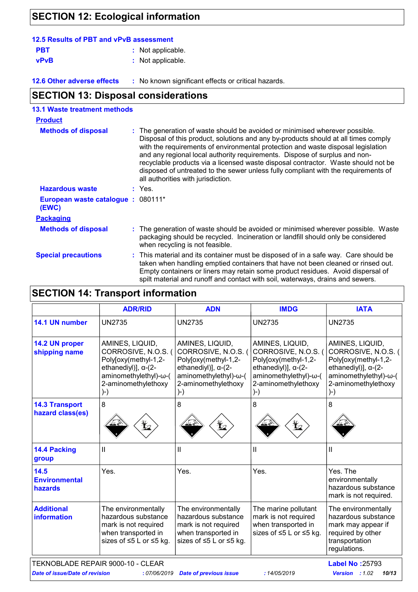# **SECTION 12: Ecological information**

| 12.5 Results of PBT and vPvB assessment |                   |  |  |  |  |
|-----------------------------------------|-------------------|--|--|--|--|
| <b>PBT</b>                              | : Not applicable. |  |  |  |  |
| <b>vPvB</b>                             | : Not applicable. |  |  |  |  |

**12.6 Other adverse effects** : No known significant effects or critical hazards.

# **SECTION 13: Disposal considerations**

| <b>13.1 Waste treatment methods</b>                           |  |                                                                                                                                                                                                                                                                                                                                                                                                                                                                                                                                                      |
|---------------------------------------------------------------|--|------------------------------------------------------------------------------------------------------------------------------------------------------------------------------------------------------------------------------------------------------------------------------------------------------------------------------------------------------------------------------------------------------------------------------------------------------------------------------------------------------------------------------------------------------|
| <b>Product</b>                                                |  |                                                                                                                                                                                                                                                                                                                                                                                                                                                                                                                                                      |
| <b>Methods of disposal</b>                                    |  | : The generation of waste should be avoided or minimised wherever possible.<br>Disposal of this product, solutions and any by-products should at all times comply<br>with the requirements of environmental protection and waste disposal legislation<br>and any regional local authority requirements. Dispose of surplus and non-<br>recyclable products via a licensed waste disposal contractor. Waste should not be<br>disposed of untreated to the sewer unless fully compliant with the requirements of<br>all authorities with jurisdiction. |
| <b>Hazardous waste</b>                                        |  | $:$ Yes.                                                                                                                                                                                                                                                                                                                                                                                                                                                                                                                                             |
| European waste catalogue : 080111*<br>(EWC)                   |  |                                                                                                                                                                                                                                                                                                                                                                                                                                                                                                                                                      |
| <b>Packaging</b>                                              |  |                                                                                                                                                                                                                                                                                                                                                                                                                                                                                                                                                      |
| <b>Methods of disposal</b><br>when recycling is not feasible. |  | : The generation of waste should be avoided or minimised wherever possible. Waste<br>packaging should be recycled. Incineration or landfill should only be considered                                                                                                                                                                                                                                                                                                                                                                                |
| <b>Special precautions</b>                                    |  | : This material and its container must be disposed of in a safe way. Care should be<br>taken when handling emptied containers that have not been cleaned or rinsed out.<br>Empty containers or liners may retain some product residues. Avoid dispersal of<br>spilt material and runoff and contact with soil, waterways, drains and sewers.                                                                                                                                                                                                         |

# **SECTION 14: Transport information**

|                                         | <b>ADR/RID</b>                                                                                                                                              | <b>ADN</b>                                                                                                                                                  | <b>IMDG</b>                                                                                                                                                 | <b>IATA</b>                                                                                                                                                 |
|-----------------------------------------|-------------------------------------------------------------------------------------------------------------------------------------------------------------|-------------------------------------------------------------------------------------------------------------------------------------------------------------|-------------------------------------------------------------------------------------------------------------------------------------------------------------|-------------------------------------------------------------------------------------------------------------------------------------------------------------|
| 14.1 UN number                          | <b>UN2735</b>                                                                                                                                               | <b>UN2735</b>                                                                                                                                               | <b>UN2735</b>                                                                                                                                               | <b>UN2735</b>                                                                                                                                               |
| 14.2 UN proper<br>shipping name         | AMINES, LIQUID,<br>CORROSIVE, N.O.S. (<br>Poly[oxy(methyl-1,2-<br>ethanediyl)], $\alpha$ - $(2$ -<br>aminomethylethyl)-ω-(<br>2-aminomethylethoxy<br>$)$ -) | AMINES, LIQUID,<br>CORROSIVE, N.O.S. (<br>Poly[oxy(methyl-1,2-<br>ethanediyl)], $\alpha$ - $(2$ -<br>aminomethylethyl)-ω-(<br>2-aminomethylethoxy<br>$)$ -) | AMINES, LIQUID,<br>CORROSIVE, N.O.S. (<br>Poly[oxy(methyl-1,2-<br>ethanediyl)], $\alpha$ - $(2$ -<br>aminomethylethyl)-ω-(<br>2-aminomethylethoxy<br>$)$ -) | AMINES, LIQUID,<br>CORROSIVE, N.O.S. (<br>Poly[oxy(methyl-1,2-<br>ethanediyl)], $\alpha$ - $(2$ -<br>aminomethylethyl)-ω-(<br>2-aminomethylethoxy<br>$)$ -) |
| <b>14.3 Transport</b>                   | 8                                                                                                                                                           | 8                                                                                                                                                           | 8                                                                                                                                                           | 8                                                                                                                                                           |
| hazard class(es)                        |                                                                                                                                                             |                                                                                                                                                             |                                                                                                                                                             |                                                                                                                                                             |
| 14.4 Packing<br>group                   | Ш                                                                                                                                                           | $\mathbf{I}$                                                                                                                                                | Ш                                                                                                                                                           | Ш                                                                                                                                                           |
| 14.5<br><b>Environmental</b><br>hazards | Yes.                                                                                                                                                        | Yes.                                                                                                                                                        | Yes.                                                                                                                                                        | Yes. The<br>environmentally<br>hazardous substance<br>mark is not required.                                                                                 |
| <b>Additional</b><br><b>information</b> | The environmentally<br>hazardous substance<br>mark is not required<br>when transported in<br>sizes of ≤5 L or ≤5 kg.                                        | The environmentally<br>hazardous substance<br>mark is not required<br>when transported in<br>sizes of ≤5 L or ≤5 kg.                                        | The marine pollutant<br>mark is not required<br>when transported in<br>sizes of ≤5 L or ≤5 kg.                                                              | The environmentally<br>hazardous substance<br>mark may appear if<br>required by other<br>transportation<br>regulations.                                     |
| TEKNOBLADE REPAIR 9000-10 - CLEAR       | <b>Label No: 25793</b>                                                                                                                                      |                                                                                                                                                             |                                                                                                                                                             |                                                                                                                                                             |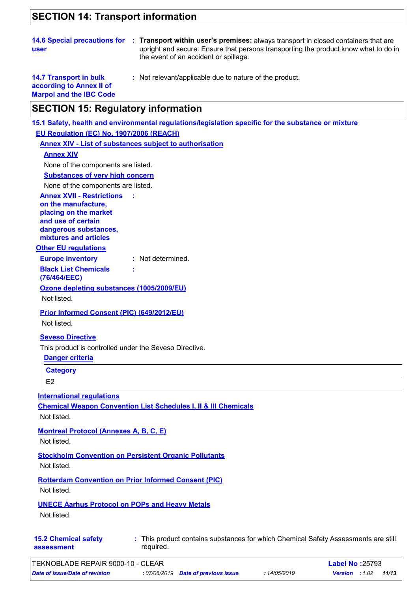### **SECTION 14: Transport information**

|      | 14.6 Special precautions for : Transport within user's premises: always transport in closed containers that are |
|------|-----------------------------------------------------------------------------------------------------------------|
| user | upright and secure. Ensure that persons transporting the product know what to do in                             |
|      | the event of an accident or spillage.                                                                           |

**14.7 Transport in bulk according to Annex II of Marpol and the IBC Code** **:** Not relevant/applicable due to nature of the product.

### **SECTION 15: Regulatory information**

**Other EU regulations Annex XVII - Restrictions on the manufacture, placing on the market and use of certain dangerous substances, mixtures and articles : Europe inventory :** Not determined. **Black List Chemicals (76/464/EEC) : 15.1 Safety, health and environmental regulations/legislation specific for the substance or mixture EU Regulation (EC) No. 1907/2006 (REACH) Annex XIV - List of substances subject to authorisation Substances of very high concern** None of the components are listed. **Seveso Directive** This product is controlled under the Seveso Directive. **Danger criteria Category Annex XIV** None of the components are listed. **Ozone depleting substances (1005/2009/EU)** Not listed. **Prior Informed Consent (PIC) (649/2012/EU)** Not listed.

E<sub>2</sub>

**International regulations**

**Chemical Weapon Convention List Schedules I, II & III Chemicals**

Not listed.

**Montreal Protocol (Annexes A, B, C, E)**

Not listed.

**Stockholm Convention on Persistent Organic Pollutants**

Not listed.

**Rotterdam Convention on Prior Informed Consent (PIC)**

Not listed.

**UNECE Aarhus Protocol on POPs and Heavy Metals**

Not listed.

**15.2 Chemical safety assessment**

This product contains substances for which Chemical Safety Assessments are still **:** required.

| TEKNOBLADE REPAIR 9000-10 - CLEAR |                                     |            | <b>Label No: 25793</b>         |  |
|-----------------------------------|-------------------------------------|------------|--------------------------------|--|
| Date of issue/Date of revision    | : 07/06/2019 Date of previous issue | 14/05/2019 | 11/13<br><b>Version</b> : 1.02 |  |